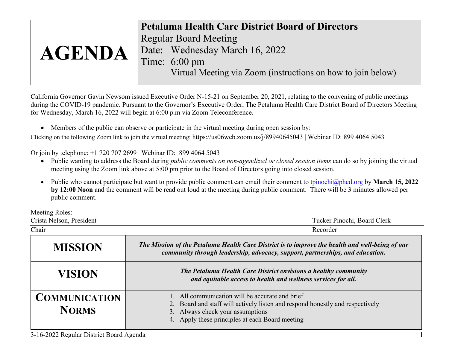|               | <b>Petaluma Health Care District Board of Directors</b>      |
|---------------|--------------------------------------------------------------|
|               | <b>Regular Board Meeting</b>                                 |
| <b>AGENDA</b> | Date: Wednesday March 16, 2022                               |
|               | Time: 6:00 pm                                                |
|               | Virtual Meeting via Zoom (instructions on how to join below) |

California Governor Gavin Newsom issued Executive Order N-15-21 on September 20, 2021, relating to the convening of public meetings during the COVID-19 pandemic. Pursuant to the Governor's Executive Order, The Petaluma Health Care District Board of Directors Meeting for Wednesday, March 16, 2022 will begin at 6:00 p.m via Zoom Teleconference.

• Members of the public can observe or participate in the virtual meeting during open session by:

Clicking on the following Zoom link to join the virtual meeting: https://us06web.zoom.us/j/89940645043 | Webinar ID: 899 4064 5043

## Or join by telephone: +1 720 707 2699 | Webinar ID: 899 4064 5043

- Public wanting to address the Board during *public comments on non-agendized or closed session items* can do so by joining the virtual meeting using the Zoom link above at 5:00 pm prior to the Board of Directors going into closed session.
- Public who cannot participate but want to provide public comment can email their comment to [tpinochi@phcd.org](mailto:tpinochi@phcd.org) by **March 15, 2022 by 12:00 Noon** and the comment will be read out loud at the meeting during public comment. There will be 3 minutes allowed per public comment.

Meeting Roles:

| Crista Nelson, President             | Tucker Pinochi, Board Clerk                                                                                                                                                                                             |  |  |
|--------------------------------------|-------------------------------------------------------------------------------------------------------------------------------------------------------------------------------------------------------------------------|--|--|
| Chair                                | Recorder                                                                                                                                                                                                                |  |  |
| <b>MISSION</b>                       | The Mission of the Petaluma Health Care District is to improve the health and well-being of our<br>community through leadership, advocacy, support, partnerships, and education.                                        |  |  |
| <b>VISION</b>                        | The Petaluma Health Care District envisions a healthy community<br>and equitable access to health and wellness services for all.                                                                                        |  |  |
| <b>COMMUNICATION</b><br><b>NORMS</b> | 1. All communication will be accurate and brief<br>2. Board and staff will actively listen and respond honestly and respectively<br>3. Always check your assumptions<br>4. Apply these principles at each Board meeting |  |  |

3-16-2022 Regular District Board Agenda 1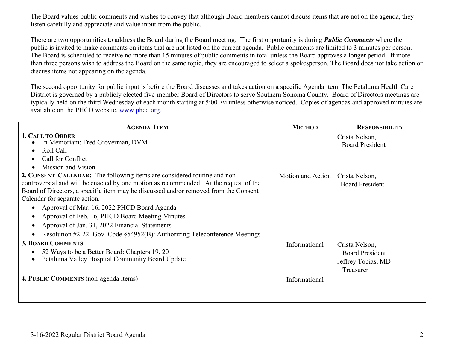The Board values public comments and wishes to convey that although Board members cannot discuss items that are not on the agenda, they listen carefully and appreciate and value input from the public.

There are two opportunities to address the Board during the Board meeting. The first opportunity is during *Public Comments* where the public is invited to make comments on items that are not listed on the current agenda. Public comments are limited to 3 minutes per person. The Board is scheduled to receive no more than 15 minutes of public comments in total unless the Board approves a longer period. If more than three persons wish to address the Board on the same topic, they are encouraged to select a spokesperson. The Board does not take action or discuss items not appearing on the agenda.

The second opportunity for public input is before the Board discusses and takes action on a specific Agenda item. The Petaluma Health Care District is governed by a publicly elected five-member Board of Directors to serve Southern Sonoma County. Board of Directors meetings are typically held on the third Wednesday of each month starting at 5:00 PM unless otherwise noticed. Copies of agendas and approved minutes are available on the PHCD website, [www.phcd.org.](http://www.phcd.org/)

| <b>AGENDA ITEM</b>                                                                                                                                                                                                                                                                                                                                                                                                                                                                                                                                                      | <b>METHOD</b>     | <b>RESPONSIBILITY</b>                                                       |
|-------------------------------------------------------------------------------------------------------------------------------------------------------------------------------------------------------------------------------------------------------------------------------------------------------------------------------------------------------------------------------------------------------------------------------------------------------------------------------------------------------------------------------------------------------------------------|-------------------|-----------------------------------------------------------------------------|
| <b>1. CALL TO ORDER</b><br>In Memoriam: Fred Groverman, DVM<br>Roll Call<br>Call for Conflict<br>Mission and Vision                                                                                                                                                                                                                                                                                                                                                                                                                                                     |                   | Crista Nelson,<br><b>Board President</b>                                    |
| 2. CONSENT CALENDAR: The following items are considered routine and non-<br>controversial and will be enacted by one motion as recommended. At the request of the<br>Board of Directors, a specific item may be discussed and/or removed from the Consent<br>Calendar for separate action.<br>Approval of Mar. 16, 2022 PHCD Board Agenda<br>Approval of Feb. 16, PHCD Board Meeting Minutes<br>$\bullet$<br>Approval of Jan. 31, 2022 Financial Statements<br>$\bullet$<br>Resolution #2-22: Gov. Code $\S$ 54952(B): Authorizing Teleconference Meetings<br>$\bullet$ | Motion and Action | Crista Nelson,<br><b>Board President</b>                                    |
| <b>3. BOARD COMMENTS</b><br>52 Ways to be a Better Board: Chapters 19, 20<br>Petaluma Valley Hospital Community Board Update                                                                                                                                                                                                                                                                                                                                                                                                                                            | Informational     | Crista Nelson,<br><b>Board President</b><br>Jeffrey Tobias, MD<br>Treasurer |
| 4. PUBLIC COMMENTS (non-agenda items)                                                                                                                                                                                                                                                                                                                                                                                                                                                                                                                                   | Informational     |                                                                             |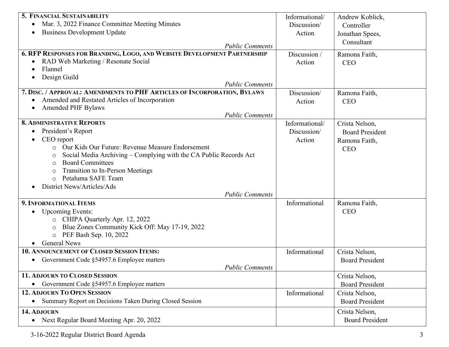| 5. FINANCIAL SUSTAINABILITY                                                  | Informational/ | Andrew Koblick,        |
|------------------------------------------------------------------------------|----------------|------------------------|
| Mar. 3, 2022 Finance Committee Meeting Minutes<br>$\bullet$                  | Discussion/    | Controller             |
| <b>Business Development Update</b>                                           | Action         | Jonathan Spees,        |
|                                                                              |                | Consultant             |
| <b>Public Comments</b>                                                       |                |                        |
| 6. RFP RESPONSES FOR BRANDING, LOGO, AND WEBSITE DEVELOPMENT PARTNERSHIP     | Discussion /   | Ramona Faith,          |
| RAD Web Marketing / Resonate Social<br>$\bullet$                             | Action         | <b>CEO</b>             |
| Flannel                                                                      |                |                        |
| Design Guild<br><b>Public Comments</b>                                       |                |                        |
| 7. DISC. / APPROVAL: AMENDMENTS TO PHF ARTICLES OF INCORPORATION, BYLAWS     | Discussion/    | Ramona Faith,          |
| Amended and Restated Articles of Incorporation                               |                | <b>CEO</b>             |
| <b>Amended PHF Bylaws</b>                                                    | Action         |                        |
| <b>Public Comments</b>                                                       |                |                        |
| <b>8. ADMINISTRATIVE REPORTS</b>                                             | Informational/ | Crista Nelson,         |
| President's Report                                                           | Discussion/    | <b>Board President</b> |
| CEO report                                                                   | Action         | Ramona Faith,          |
| Our Kids Our Future: Revenue Measure Endorsement<br>$\circ$                  |                | <b>CEO</b>             |
| Social Media Archiving – Complying with the CA Public Records Act<br>$\circ$ |                |                        |
| <b>Board Committees</b><br>$\circ$                                           |                |                        |
| <b>Transition to In-Person Meetings</b><br>$\circ$                           |                |                        |
| Petaluma SAFE Team<br>$\circ$                                                |                |                        |
| District News/Articles/Ads                                                   |                |                        |
| <b>Public Comments</b>                                                       |                |                        |
| 9. INFORMATIONAL ITEMS                                                       | Informational  | Ramona Faith,          |
| <b>Upcoming Events:</b>                                                      |                | <b>CEO</b>             |
| CHIPA Quarterly Apr. 12, 2022<br>$\circ$                                     |                |                        |
| Blue Zones Community Kick Off: May 17-19, 2022<br>$\circ$                    |                |                        |
| PEF Bash Sep. 10, 2022<br>$\circ$                                            |                |                        |
| <b>General News</b>                                                          |                |                        |
| 10. ANNOUNCEMENT OF CLOSED SESSION ITEMS:                                    | Informational  | Crista Nelson,         |
| • Government Code §54957.6 Employee matters                                  |                | <b>Board President</b> |
| <b>Public Comments</b>                                                       |                |                        |
| 11. ADJOURN TO CLOSED SESSION                                                |                | Crista Nelson,         |
| Government Code §54957.6 Employee matters                                    |                | <b>Board President</b> |
| <b>12. ADJOURN TO OPEN SESSION</b>                                           | Informational  | Crista Nelson,         |
| Summary Report on Decisions Taken During Closed Session<br>$\bullet$         |                | <b>Board President</b> |
|                                                                              |                |                        |
| 14. ADJOURN                                                                  |                | Crista Nelson,         |
| Next Regular Board Meeting Apr. 20, 2022<br>$\bullet$                        |                | <b>Board President</b> |

3-16-2022 Regular District Board Agenda 3